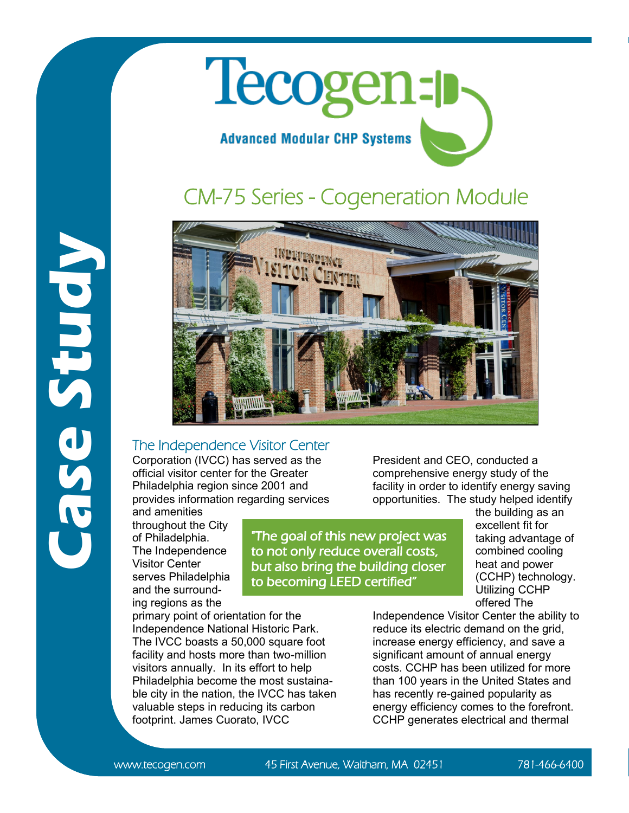

## CM-75 Series - Cogeneration Module



"The goal of this new project was to not only reduce overall costs, but also bring the building closer

to becoming LEED certified"

## The Independence Visitor Center

Corporation (IVCC) has served as the official visitor center for the Greater Philadelphia region since 2001 and provides information regarding services

and amenities throughout the City of Philadelphia. The Independence Visitor Center serves Philadelphia and the surrounding regions as the

**Case Study**

primary point of orientation for the Independence National Historic Park. The IVCC boasts a 50,000 square foot facility and hosts more than two-million visitors annually. In its effort to help Philadelphia become the most sustainable city in the nation, the IVCC has taken valuable steps in reducing its carbon footprint. James Cuorato, IVCC

President and CEO, conducted a comprehensive energy study of the facility in order to identify energy saving opportunities. The study helped identify

> the building as an excellent fit for taking advantage of combined cooling heat and power (CCHP) technology. Utilizing CCHP offered The

Independence Visitor Center the ability to reduce its electric demand on the grid, increase energy efficiency, and save a significant amount of annual energy costs. CCHP has been utilized for more than 100 years in the United States and has recently re-gained popularity as energy efficiency comes to the forefront. CCHP generates electrical and thermal